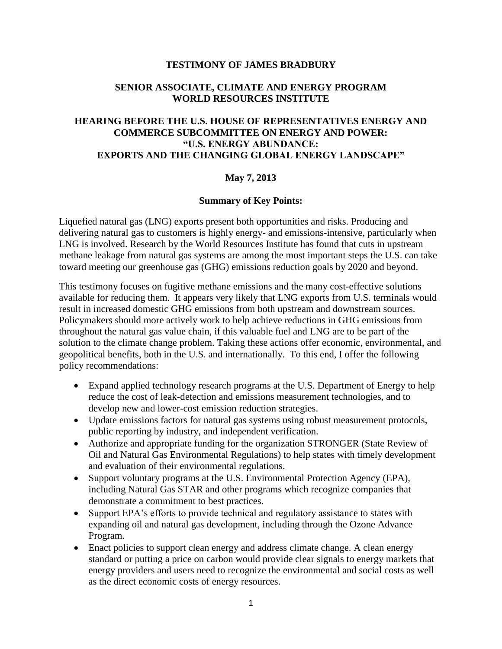## **TESTIMONY OF JAMES BRADBURY**

## **SENIOR ASSOCIATE, CLIMATE AND ENERGY PROGRAM WORLD RESOURCES INSTITUTE**

# **HEARING BEFORE THE U.S. HOUSE OF REPRESENTATIVES ENERGY AND COMMERCE SUBCOMMITTEE ON ENERGY AND POWER: "U.S. ENERGY ABUNDANCE: EXPORTS AND THE CHANGING GLOBAL ENERGY LANDSCAPE"**

## **May 7, 2013**

## **Summary of Key Points:**

Liquefied natural gas (LNG) exports present both opportunities and risks. Producing and delivering natural gas to customers is highly energy- and emissions-intensive, particularly when LNG is involved. Research by the World Resources Institute has found that cuts in upstream methane leakage from natural gas systems are among the most important steps the U.S. can take toward meeting our greenhouse gas (GHG) emissions reduction goals by 2020 and beyond.

This testimony focuses on fugitive methane emissions and the many cost-effective solutions available for reducing them. It appears very likely that LNG exports from U.S. terminals would result in increased domestic GHG emissions from both upstream and downstream sources. Policymakers should more actively work to help achieve reductions in GHG emissions from throughout the natural gas value chain, if this valuable fuel and LNG are to be part of the solution to the climate change problem. Taking these actions offer economic, environmental, and geopolitical benefits, both in the U.S. and internationally. To this end, I offer the following policy recommendations:

- Expand applied technology research programs at the U.S. Department of Energy to help reduce the cost of leak-detection and emissions measurement technologies, and to develop new and lower-cost emission reduction strategies.
- Update emissions factors for natural gas systems using robust measurement protocols, public reporting by industry, and independent verification.
- Authorize and appropriate funding for the organization STRONGER (State Review of Oil and Natural Gas Environmental Regulations) to help states with timely development and evaluation of their environmental regulations.
- Support voluntary programs at the U.S. Environmental Protection Agency (EPA), including Natural Gas STAR and other programs which recognize companies that demonstrate a commitment to best practices.
- Support EPA's efforts to provide technical and regulatory assistance to states with expanding oil and natural gas development, including through the Ozone Advance Program.
- Enact policies to support clean energy and address climate change. A clean energy standard or putting a price on carbon would provide clear signals to energy markets that energy providers and users need to recognize the environmental and social costs as well as the direct economic costs of energy resources.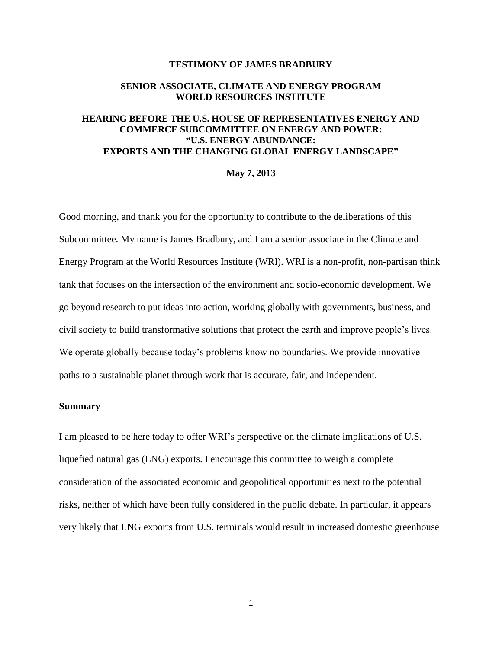### **TESTIMONY OF JAMES BRADBURY**

## **SENIOR ASSOCIATE, CLIMATE AND ENERGY PROGRAM WORLD RESOURCES INSTITUTE**

## **HEARING BEFORE THE U.S. HOUSE OF REPRESENTATIVES ENERGY AND COMMERCE SUBCOMMITTEE ON ENERGY AND POWER: "U.S. ENERGY ABUNDANCE: EXPORTS AND THE CHANGING GLOBAL ENERGY LANDSCAPE"**

#### **May 7, 2013**

Good morning, and thank you for the opportunity to contribute to the deliberations of this Subcommittee. My name is James Bradbury, and I am a senior associate in the Climate and Energy Program at the World Resources Institute (WRI). WRI is a non-profit, non-partisan think tank that focuses on the intersection of the environment and socio-economic development. We go beyond research to put ideas into action, working globally with governments, business, and civil society to build transformative solutions that protect the earth and improve people's lives. We operate globally because today's problems know no boundaries. We provide innovative paths to a sustainable planet through work that is accurate, fair, and independent.

## **Summary**

I am pleased to be here today to offer WRI's perspective on the climate implications of U.S. liquefied natural gas (LNG) exports. I encourage this committee to weigh a complete consideration of the associated economic and geopolitical opportunities next to the potential risks, neither of which have been fully considered in the public debate. In particular, it appears very likely that LNG exports from U.S. terminals would result in increased domestic greenhouse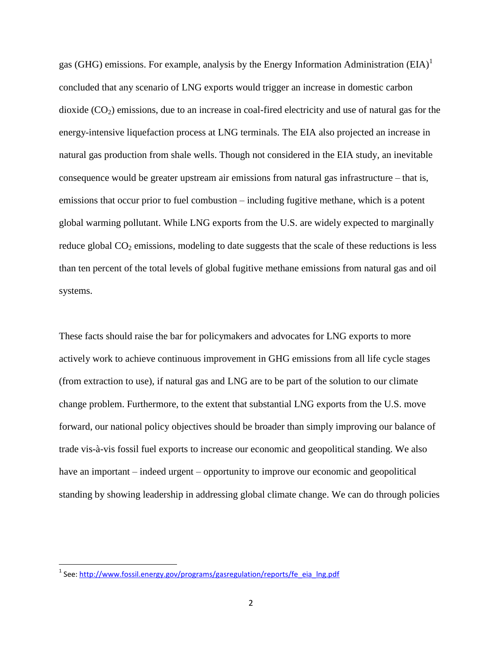gas (GHG) emissions. For example, analysis by the Energy Information Administration (EIA)<sup>1</sup> concluded that any scenario of LNG exports would trigger an increase in domestic carbon dioxide  $(CO<sub>2</sub>)$  emissions, due to an increase in coal-fired electricity and use of natural gas for the energy-intensive liquefaction process at LNG terminals. The EIA also projected an increase in natural gas production from shale wells. Though not considered in the EIA study, an inevitable consequence would be greater upstream air emissions from natural gas infrastructure – that is, emissions that occur prior to fuel combustion – including fugitive methane, which is a potent global warming pollutant. While LNG exports from the U.S. are widely expected to marginally reduce global  $CO<sub>2</sub>$  emissions, modeling to date suggests that the scale of these reductions is less than ten percent of the total levels of global fugitive methane emissions from natural gas and oil systems.

These facts should raise the bar for policymakers and advocates for LNG exports to more actively work to achieve continuous improvement in GHG emissions from all life cycle stages (from extraction to use), if natural gas and LNG are to be part of the solution to our climate change problem. Furthermore, to the extent that substantial LNG exports from the U.S. move forward, our national policy objectives should be broader than simply improving our balance of trade vis-à-vis fossil fuel exports to increase our economic and geopolitical standing. We also have an important – indeed urgent – opportunity to improve our economic and geopolitical standing by showing leadership in addressing global climate change. We can do through policies

<sup>&</sup>lt;sup>1</sup> See: [http://www.fossil.energy.gov/programs/gasregulation/reports/fe\\_eia\\_lng.pdf](http://www.fossil.energy.gov/programs/gasregulation/reports/fe_eia_lng.pdf)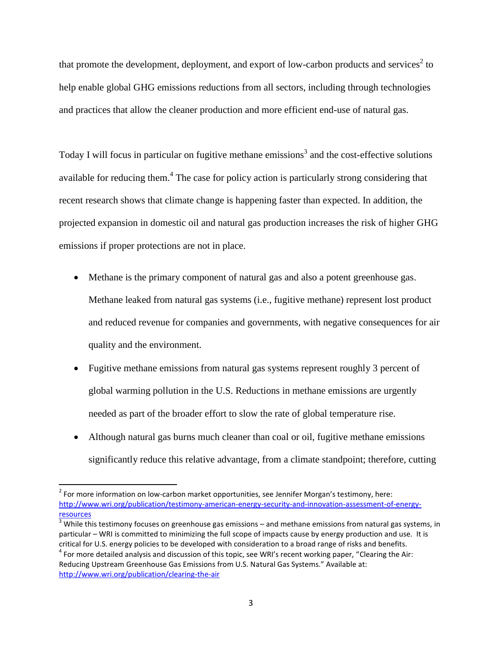that promote the development, deployment, and export of low-carbon products and services<sup>2</sup> to help enable global GHG emissions reductions from all sectors, including through technologies and practices that allow the cleaner production and more efficient end-use of natural gas.

Today I will focus in particular on fugitive methane emissions<sup>3</sup> and the cost-effective solutions available for reducing them.<sup>4</sup> The case for policy action is particularly strong considering that recent research shows that climate change is happening faster than expected. In addition, the projected expansion in domestic oil and natural gas production increases the risk of higher GHG emissions if proper protections are not in place.

- Methane is the primary component of natural gas and also a potent greenhouse gas. Methane leaked from natural gas systems (i.e., fugitive methane) represent lost product and reduced revenue for companies and governments, with negative consequences for air quality and the environment.
- Fugitive methane emissions from natural gas systems represent roughly 3 percent of global warming pollution in the U.S. Reductions in methane emissions are urgently needed as part of the broader effort to slow the rate of global temperature rise.
- Although natural gas burns much cleaner than coal or oil, fugitive methane emissions significantly reduce this relative advantage, from a climate standpoint; therefore, cutting

 $2^{2}$  For more information on low-carbon market opportunities, see Jennifer Morgan's testimony, here: [http://www.wri.org/publication/testimony-american-energy-security-and-innovation-assessment-of-energy](http://www.wri.org/publication/testimony-american-energy-security-and-innovation-assessment-of-energy-resources)[resources](http://www.wri.org/publication/testimony-american-energy-security-and-innovation-assessment-of-energy-resources)

 $3$  While this testimony focuses on greenhouse gas emissions – and methane emissions from natural gas systems, in particular – WRI is committed to minimizing the full scope of impacts cause by energy production and use. It is critical for U.S. energy policies to be developed with consideration to a broad range of risks and benefits.  $<sup>4</sup>$  For more detailed analysis and discussion of this topic, see WRI's recent working paper, "Clearing the Air:</sup> Reducing Upstream Greenhouse Gas Emissions from U.S. Natural Gas Systems." Available at: <http://www.wri.org/publication/clearing-the-air>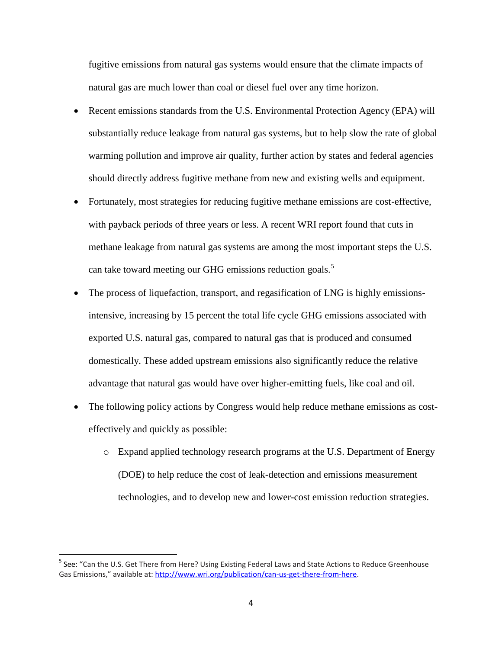fugitive emissions from natural gas systems would ensure that the climate impacts of natural gas are much lower than coal or diesel fuel over any time horizon.

- Recent emissions standards from the U.S. Environmental Protection Agency (EPA) will substantially reduce leakage from natural gas systems, but to help slow the rate of global warming pollution and improve air quality, further action by states and federal agencies should directly address fugitive methane from new and existing wells and equipment.
- Fortunately, most strategies for reducing fugitive methane emissions are cost-effective, with payback periods of three years or less. A recent WRI report found that cuts in methane leakage from natural gas systems are among the most important steps the U.S. can take toward meeting our GHG emissions reduction goals.<sup>5</sup>
- The process of liquefaction, transport, and regasification of LNG is highly emissionsintensive, increasing by 15 percent the total life cycle GHG emissions associated with exported U.S. natural gas, compared to natural gas that is produced and consumed domestically. These added upstream emissions also significantly reduce the relative advantage that natural gas would have over higher-emitting fuels, like coal and oil.
- The following policy actions by Congress would help reduce methane emissions as costeffectively and quickly as possible:
	- o Expand applied technology research programs at the U.S. Department of Energy (DOE) to help reduce the cost of leak-detection and emissions measurement technologies, and to develop new and lower-cost emission reduction strategies.

<sup>&</sup>lt;sup>5</sup> See: "Can the U.S. Get There from Here? Using Existing Federal Laws and State Actions to Reduce Greenhouse Gas Emissions," available at: [http://www.wri.org/publication/can-us-get-there-from-here.](http://www.wri.org/publication/can-us-get-there-from-here)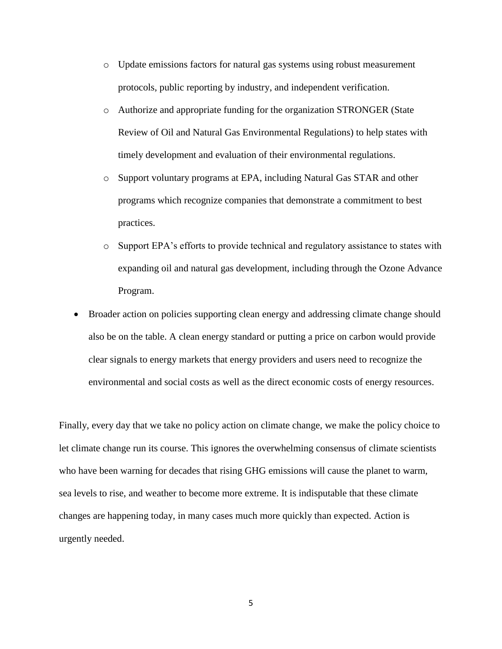- o Update emissions factors for natural gas systems using robust measurement protocols, public reporting by industry, and independent verification.
- o Authorize and appropriate funding for the organization STRONGER (State Review of Oil and Natural Gas Environmental Regulations) to help states with timely development and evaluation of their environmental regulations.
- o Support voluntary programs at EPA, including Natural Gas STAR and other programs which recognize companies that demonstrate a commitment to best practices.
- o Support EPA's efforts to provide technical and regulatory assistance to states with expanding oil and natural gas development, including through the Ozone Advance Program.
- Broader action on policies supporting clean energy and addressing climate change should also be on the table. A clean energy standard or putting a price on carbon would provide clear signals to energy markets that energy providers and users need to recognize the environmental and social costs as well as the direct economic costs of energy resources.

Finally, every day that we take no policy action on climate change, we make the policy choice to let climate change run its course. This ignores the overwhelming consensus of climate scientists who have been warning for decades that rising GHG emissions will cause the planet to warm, sea levels to rise, and weather to become more extreme. It is indisputable that these climate changes are happening today, in many cases much more quickly than expected. Action is urgently needed.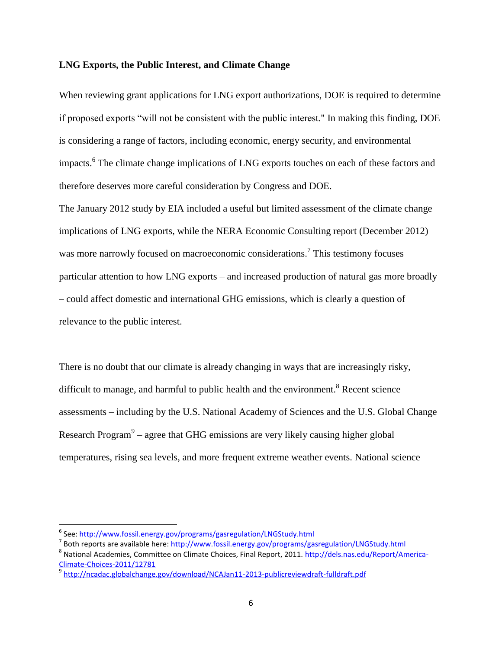#### **LNG Exports, the Public Interest, and Climate Change**

When reviewing grant applications for LNG export authorizations, DOE is required to determine if proposed exports "will not be consistent with the public interest." In making this finding, DOE is considering a range of factors, including economic, energy security, and environmental impacts.<sup>6</sup> The climate change implications of LNG exports touches on each of these factors and therefore deserves more careful consideration by Congress and DOE.

The January 2012 study by EIA included a useful but limited assessment of the climate change implications of LNG exports, while the NERA Economic Consulting report (December 2012) was more narrowly focused on macroeconomic considerations.<sup>7</sup> This testimony focuses particular attention to how LNG exports – and increased production of natural gas more broadly – could affect domestic and international GHG emissions, which is clearly a question of relevance to the public interest.

There is no doubt that our climate is already changing in ways that are increasingly risky, difficult to manage, and harmful to public health and the environment.<sup>8</sup> Recent science assessments – including by the U.S. National Academy of Sciences and the U.S. Global Change Research Program $9$  – agree that GHG emissions are very likely causing higher global temperatures, rising sea levels, and more frequent extreme weather events. National science

<sup>&</sup>lt;sup>6</sup> See: <u>http://www.fossil.energy.gov/programs/gasregulation/LNGStudy.html</u>

<sup>&</sup>lt;sup>7</sup> Both reports are available here[: http://www.fossil.energy.gov/programs/gasregulation/LNGStudy.html](http://www.fossil.energy.gov/programs/gasregulation/LNGStudy.html)

<sup>&</sup>lt;sup>8</sup> National Academies, Committee on Climate Choices, Final Report, 2011. [http://dels.nas.edu/Report/America-](http://dels.nas.edu/Report/America-Climate-Choices-2011/12781)[Climate-Choices-2011/12781](http://dels.nas.edu/Report/America-Climate-Choices-2011/12781)

<sup>&</sup>lt;sup>9</sup> <http://ncadac.globalchange.gov/download/NCAJan11-2013-publicreviewdraft-fulldraft.pdf>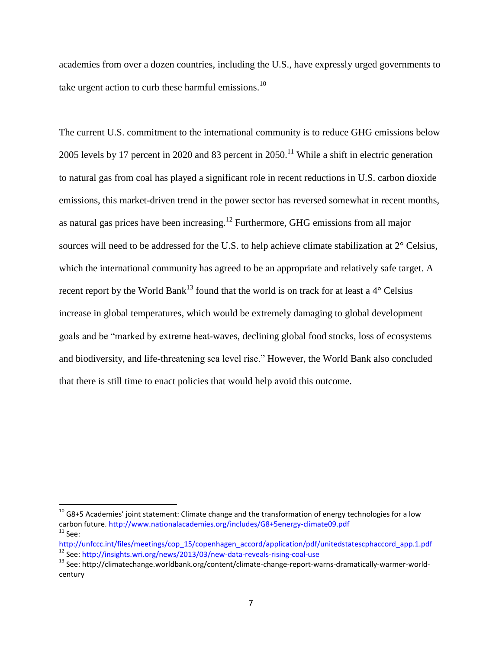academies from over a dozen countries, including the U.S., have expressly urged governments to take urgent action to curb these harmful emissions. $^{10}$ 

The current U.S. commitment to the international community is to reduce GHG emissions below 2005 levels by 17 percent in 2020 and 83 percent in  $2050$ .<sup>11</sup> While a shift in electric generation to natural gas from coal has played a significant role in recent reductions in U.S. carbon dioxide emissions, this market-driven trend in the power sector has reversed somewhat in recent months, as natural gas prices have been increasing.<sup>12</sup> Furthermore, GHG emissions from all major sources will need to be addressed for the U.S. to help achieve climate stabilization at 2° Celsius, which the international community has agreed to be an appropriate and relatively safe target. A recent report by the World Bank<sup>13</sup> found that the world is on track for at least a  $4^{\circ}$  Celsius increase in global temperatures, which would be extremely damaging to global development goals and be "marked by extreme heat-waves, declining global food stocks, loss of ecosystems and biodiversity, and life-threatening sea level rise." However, the World Bank also concluded that there is still time to enact policies that would help avoid this outcome.

 $10$  G8+5 Academies' joint statement: Climate change and the transformation of energy technologies for a low carbon future[. http://www.nationalacademies.org/includes/G8+5energy-climate09.pdf](http://www.nationalacademies.org/includes/G8+5energy-climate09.pdf)  $11$  See:

http://unfccc.int/files/meetings/cop\_15/copenhagen\_accord/application/pdf/unitedstatescphaccord\_app.1.pdf <sup>12</sup> See:<http://insights.wri.org/news/2013/03/new-data-reveals-rising-coal-use>

<sup>&</sup>lt;sup>13</sup> See: http://climatechange.worldbank.org/content/climate-change-report-warns-dramatically-warmer-worldcentury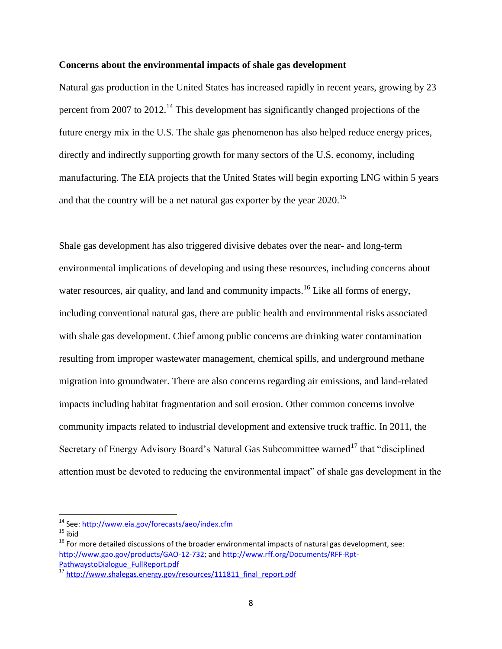#### **Concerns about the environmental impacts of shale gas development**

Natural gas production in the United States has increased rapidly in recent years, growing by 23 percent from 2007 to 2012.<sup>14</sup> This development has significantly changed projections of the future energy mix in the U.S. The shale gas phenomenon has also helped reduce energy prices, directly and indirectly supporting growth for many sectors of the U.S. economy, including manufacturing. The EIA projects that the United States will begin exporting LNG within 5 years and that the country will be a net natural gas exporter by the year 2020.<sup>15</sup>

Shale gas development has also triggered divisive debates over the near- and long-term environmental implications of developing and using these resources, including concerns about water resources, air quality, and land and community impacts.<sup>16</sup> Like all forms of energy, including conventional natural gas, there are public health and environmental risks associated with shale gas development. Chief among public concerns are drinking water contamination resulting from improper wastewater management, chemical spills, and underground methane migration into groundwater. There are also concerns regarding air emissions, and land-related impacts including habitat fragmentation and soil erosion. Other common concerns involve community impacts related to industrial development and extensive truck traffic. In 2011, the Secretary of Energy Advisory Board's Natural Gas Subcommittee warned<sup>17</sup> that "disciplined" attention must be devoted to reducing the environmental impact" of shale gas development in the

l

<sup>&</sup>lt;sup>14</sup> See: <u>http://www.eia.gov/forecasts/aeo/index.cfm</u>

 $15$  ibid

 $16$  For more detailed discussions of the broader environmental impacts of natural gas development, see: [http://www.gao.gov/products/GAO-12-732;](http://www.gao.gov/products/GAO-12-732) and [http://www.rff.org/Documents/RFF-Rpt-](http://www.rff.org/Documents/RFF-Rpt-PathwaystoDialogue_FullReport.pdf)[PathwaystoDialogue\\_FullReport.pdf](http://www.rff.org/Documents/RFF-Rpt-PathwaystoDialogue_FullReport.pdf)

<sup>17</sup> [http://www.shalegas.energy.gov/resources/111811\\_final\\_report.pdf](http://www.shalegas.energy.gov/resources/111811_final_report.pdf)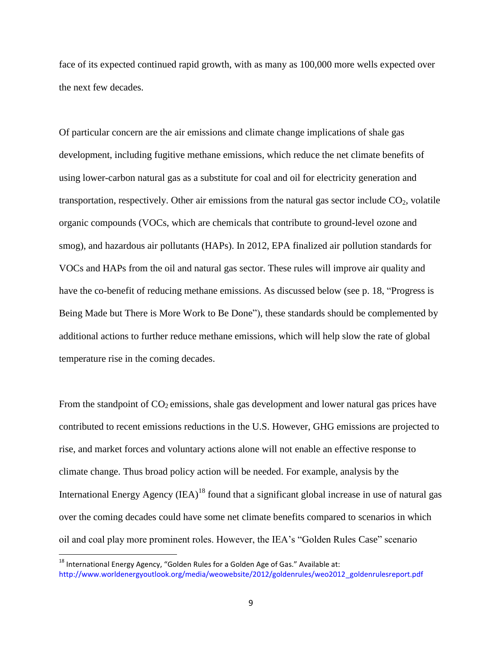face of its expected continued rapid growth, with as many as 100,000 more wells expected over the next few decades.

Of particular concern are the air emissions and climate change implications of shale gas development, including fugitive methane emissions, which reduce the net climate benefits of using lower-carbon natural gas as a substitute for coal and oil for electricity generation and transportation, respectively. Other air emissions from the natural gas sector include  $CO<sub>2</sub>$ , volatile organic compounds (VOCs, which are chemicals that contribute to ground-level ozone and smog), and hazardous air pollutants (HAPs). In 2012, EPA finalized air pollution standards for VOCs and HAPs from the oil and natural gas sector. These rules will improve air quality and have the co-benefit of reducing methane emissions. As discussed below (see p. 18, "Progress is Being Made but There is More Work to Be Done"), these standards should be complemented by additional actions to further reduce methane emissions, which will help slow the rate of global temperature rise in the coming decades.

From the standpoint of  $CO_2$  emissions, shale gas development and lower natural gas prices have contributed to recent emissions reductions in the U.S. However, GHG emissions are projected to rise, and market forces and voluntary actions alone will not enable an effective response to climate change. Thus broad policy action will be needed. For example, analysis by the International Energy Agency  $(IEA)^{18}$  found that a significant global increase in use of natural gas over the coming decades could have some net climate benefits compared to scenarios in which oil and coal play more prominent roles. However, the IEA's "Golden Rules Case" scenario

 $18$  International Energy Agency, "Golden Rules for a Golden Age of Gas." Available at: http://www.worldenergyoutlook.org/media/weowebsite/2012/goldenrules/weo2012\_goldenrulesreport.pdf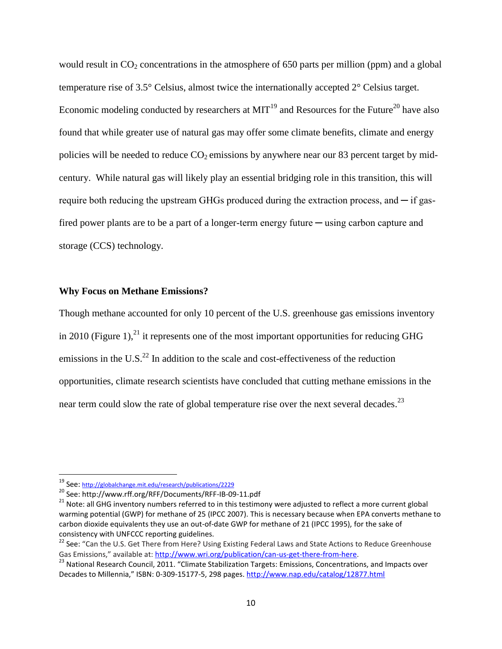would result in  $CO<sub>2</sub>$  concentrations in the atmosphere of 650 parts per million (ppm) and a global temperature rise of 3.5° Celsius, almost twice the internationally accepted 2° Celsius target. Economic modeling conducted by researchers at  $MIT^{19}$  and Resources for the Future<sup>20</sup> have also found that while greater use of natural gas may offer some climate benefits, climate and energy policies will be needed to reduce  $CO<sub>2</sub>$  emissions by anywhere near our 83 percent target by midcentury. While natural gas will likely play an essential bridging role in this transition, this will require both reducing the upstream GHGs produced during the extraction process, and  $\overline{\phantom{a}}$  if gasfired power plants are to be a part of a longer-term energy future — using carbon capture and storage (CCS) technology.

## **Why Focus on Methane Emissions?**

Though methane accounted for only 10 percent of the U.S. greenhouse gas emissions inventory in 2010 (Figure 1),<sup>21</sup> it represents one of the most important opportunities for reducing GHG emissions in the U.S. $^{22}$  In addition to the scale and cost-effectiveness of the reduction opportunities, climate research scientists have concluded that cutting methane emissions in the near term could slow the rate of global temperature rise over the next several decades.<sup>23</sup>

<sup>19</sup> See: <http://globalchange.mit.edu/research/publications/2229>

<sup>20</sup> See: http://www.rff.org/RFF/Documents/RFF-IB-09-11.pdf

<sup>&</sup>lt;sup>21</sup> Note: all GHG inventory numbers referred to in this testimony were adjusted to reflect a more current global warming potential (GWP) for methane of 25 (IPCC 2007). This is necessary because when EPA converts methane to carbon dioxide equivalents they use an out-of-date GWP for methane of 21 (IPCC 1995), for the sake of consistency with UNFCCC reporting guidelines.

<sup>&</sup>lt;sup>22</sup> See: "Can the U.S. Get There from Here? Using Existing Federal Laws and State Actions to Reduce Greenhouse Gas Emissions," available at: [http://www.wri.org/publication/can-us-get-there-from-here.](http://www.wri.org/publication/can-us-get-there-from-here)

<sup>&</sup>lt;sup>23</sup> National Research Council, 2011. "Climate Stabilization Targets: Emissions, Concentrations, and Impacts over Decades to Millennia," ISBN: 0-309-15177-5, 298 pages.<http://www.nap.edu/catalog/12877.html>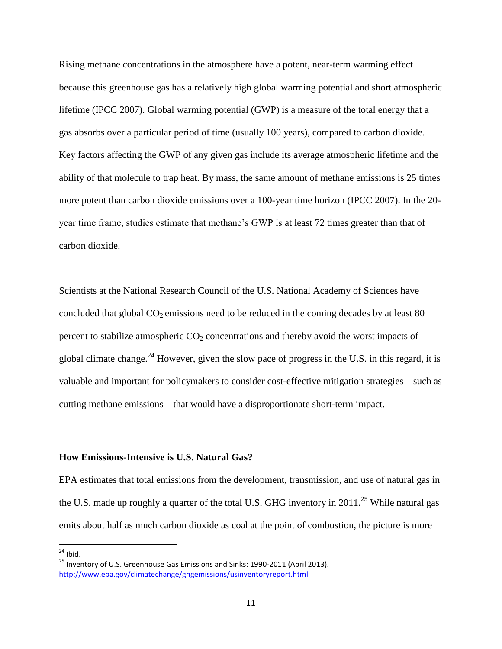Rising methane concentrations in the atmosphere have a potent, near-term warming effect because this greenhouse gas has a relatively high global warming potential and short atmospheric lifetime (IPCC 2007). Global warming potential (GWP) is a measure of the total energy that a gas absorbs over a particular period of time (usually 100 years), compared to carbon dioxide. Key factors affecting the GWP of any given gas include its average atmospheric lifetime and the ability of that molecule to trap heat. By mass, the same amount of methane emissions is 25 times more potent than carbon dioxide emissions over a 100-year time horizon (IPCC 2007). In the 20 year time frame, studies estimate that methane's GWP is at least 72 times greater than that of carbon dioxide.

Scientists at the National Research Council of the U.S. National Academy of Sciences have concluded that global  $CO<sub>2</sub>$  emissions need to be reduced in the coming decades by at least 80 percent to stabilize atmospheric  $CO<sub>2</sub>$  concentrations and thereby avoid the worst impacts of global climate change.<sup>24</sup> However, given the slow pace of progress in the U.S. in this regard, it is valuable and important for policymakers to consider cost-effective mitigation strategies – such as cutting methane emissions – that would have a disproportionate short-term impact.

## **How Emissions-Intensive is U.S. Natural Gas?**

EPA estimates that total emissions from the development, transmission, and use of natural gas in the U.S. made up roughly a quarter of the total U.S. GHG inventory in 2011.<sup>25</sup> While natural gas emits about half as much carbon dioxide as coal at the point of combustion, the picture is more

 $\overline{\phantom{a}}$  $24$  Ibid.

<sup>&</sup>lt;sup>25</sup> Inventory of U.S. Greenhouse Gas Emissions and Sinks: 1990-2011 (April 2013). <http://www.epa.gov/climatechange/ghgemissions/usinventoryreport.html>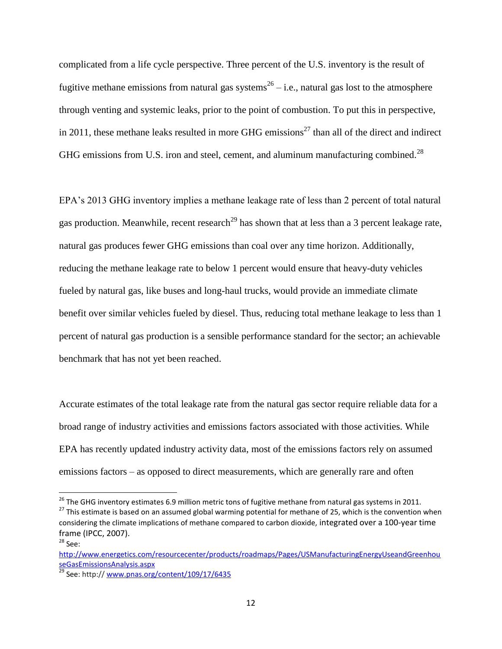complicated from a life cycle perspective. Three percent of the U.S. inventory is the result of fugitive methane emissions from natural gas systems<sup>26</sup> – i.e., natural gas lost to the atmosphere through venting and systemic leaks, prior to the point of combustion. To put this in perspective, in 2011, these methane leaks resulted in more GHG emissions<sup>27</sup> than all of the direct and indirect GHG emissions from U.S. iron and steel, cement, and aluminum manufacturing combined.<sup>28</sup>

EPA's 2013 GHG inventory implies a methane leakage rate of less than 2 percent of total natural gas production. Meanwhile, recent research<sup>29</sup> has shown that at less than a 3 percent leakage rate, natural gas produces fewer GHG emissions than coal over any time horizon. Additionally, reducing the methane leakage rate to below 1 percent would ensure that heavy-duty vehicles fueled by natural gas, like buses and long-haul trucks, would provide an immediate climate benefit over similar vehicles fueled by diesel. Thus, reducing total methane leakage to less than 1 percent of natural gas production is a sensible performance standard for the sector; an achievable benchmark that has not yet been reached.

Accurate estimates of the total leakage rate from the natural gas sector require reliable data for a broad range of industry activities and emissions factors associated with those activities. While EPA has recently updated industry activity data, most of the emissions factors rely on assumed emissions factors – as opposed to direct measurements, which are generally rare and often

<sup>&</sup>lt;sup>26</sup> The GHG inventory estimates 6.9 million metric tons of fugitive methane from natural gas systems in 2011.

<sup>&</sup>lt;sup>27</sup> This estimate is based on an assumed global warming potential for methane of 25, which is the convention when considering the climate implications of methane compared to carbon dioxide, integrated over a 100-year time frame (IPCC, 2007). <sup>28</sup> See:

[http://www.energetics.com/resourcecenter/products/roadmaps/Pages/USManufacturingEnergyUseandGreenhou](http://www.energetics.com/resourcecenter/products/roadmaps/Pages/USManufacturingEnergyUseandGreenhouseGasEmissionsAnalysis.aspx) [seGasEmissionsAnalysis.aspx](http://www.energetics.com/resourcecenter/products/roadmaps/Pages/USManufacturingEnergyUseandGreenhouseGasEmissionsAnalysis.aspx)

<sup>&</sup>lt;sup>29</sup> See: http:// [www.pnas.org/content/109/17/6435](http://www.pnas.org/content/109/17/6435)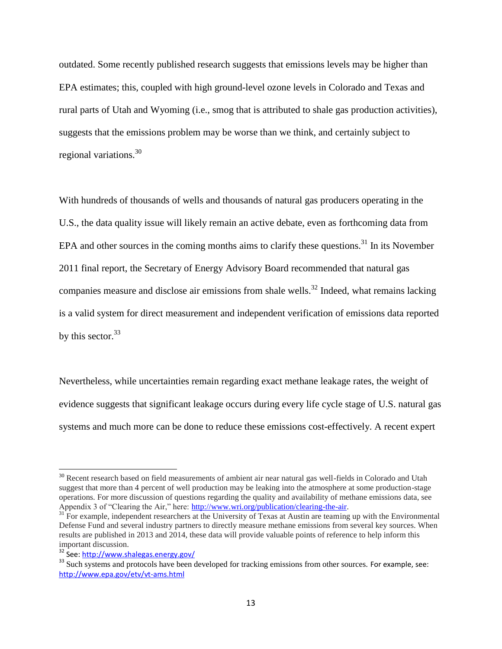outdated. Some recently published research suggests that emissions levels may be higher than EPA estimates; this, coupled with high ground-level ozone levels in Colorado and Texas and rural parts of Utah and Wyoming (i.e., smog that is attributed to shale gas production activities), suggests that the emissions problem may be worse than we think, and certainly subject to regional variations. $30$ 

With hundreds of thousands of wells and thousands of natural gas producers operating in the U.S., the data quality issue will likely remain an active debate, even as forthcoming data from EPA and other sources in the coming months aims to clarify these questions.<sup>31</sup> In its November 2011 final report, the Secretary of Energy Advisory Board recommended that natural gas companies measure and disclose air emissions from shale wells.<sup>32</sup> Indeed, what remains lacking is a valid system for direct measurement and independent verification of emissions data reported by this sector.<sup>33</sup>

Nevertheless, while uncertainties remain regarding exact methane leakage rates, the weight of evidence suggests that significant leakage occurs during every life cycle stage of U.S. natural gas systems and much more can be done to reduce these emissions cost-effectively. A recent expert

l

<sup>&</sup>lt;sup>30</sup> Recent research based on field measurements of ambient air near natural gas well-fields in Colorado and Utah suggest that more than 4 percent of well production may be leaking into the atmosphere at some production-stage operations. For more discussion of questions regarding the quality and availability of methane emissions data, see Appendix 3 of "Clearing the Air," here: [http://www.wri.org/publication/clearing-the-air.](http://www.wri.org/publication/clearing-the-air)

<sup>&</sup>lt;sup>31</sup> For example, independent researchers at the University of Texas at Austin are teaming up with the Environmental Defense Fund and several industry partners to directly measure methane emissions from several key sources. When results are published in 2013 and 2014, these data will provide valuable points of reference to help inform this important discussion.

<sup>&</sup>lt;sup>32</sup> See:<http://www.shalegas.energy.gov/>

<sup>&</sup>lt;sup>33</sup> Such systems and protocols have been developed for tracking emissions from other sources. For example, see: <http://www.epa.gov/etv/vt-ams.html>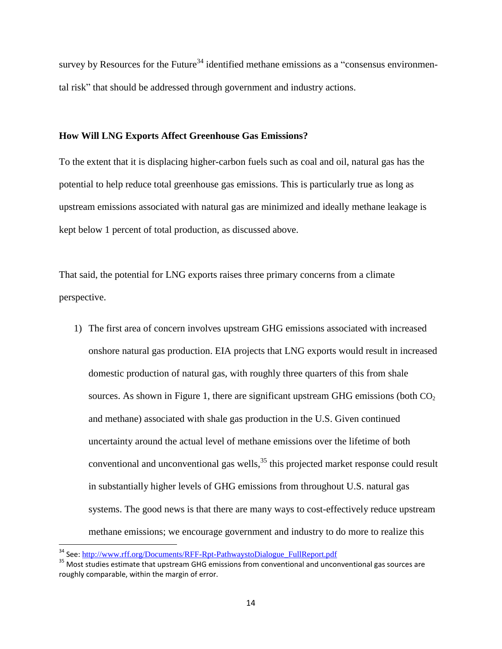survey by Resources for the Future<sup>34</sup> identified methane emissions as a "consensus environmental risk" that should be addressed through government and industry actions.

#### **How Will LNG Exports Affect Greenhouse Gas Emissions?**

To the extent that it is displacing higher-carbon fuels such as coal and oil, natural gas has the potential to help reduce total greenhouse gas emissions. This is particularly true as long as upstream emissions associated with natural gas are minimized and ideally methane leakage is kept below 1 percent of total production, as discussed above.

That said, the potential for LNG exports raises three primary concerns from a climate perspective.

1) The first area of concern involves upstream GHG emissions associated with increased onshore natural gas production. EIA projects that LNG exports would result in increased domestic production of natural gas, with roughly three quarters of this from shale sources. As shown in Figure 1, there are significant upstream GHG emissions (both  $CO<sub>2</sub>$ ) and methane) associated with shale gas production in the U.S. Given continued uncertainty around the actual level of methane emissions over the lifetime of both conventional and unconventional gas wells,<sup>35</sup> this projected market response could result in substantially higher levels of GHG emissions from throughout U.S. natural gas systems. The good news is that there are many ways to cost-effectively reduce upstream methane emissions; we encourage government and industry to do more to realize this

<sup>&</sup>lt;sup>34</sup> See: [http://www.rff.org/Documents/RFF-Rpt-PathwaystoDialogue\\_FullReport.pdf](http://www.rff.org/Documents/RFF-Rpt-PathwaystoDialogue_FullReport.pdf)

<sup>&</sup>lt;sup>35</sup> Most studies estimate that upstream GHG emissions from conventional and unconventional gas sources are roughly comparable, within the margin of error.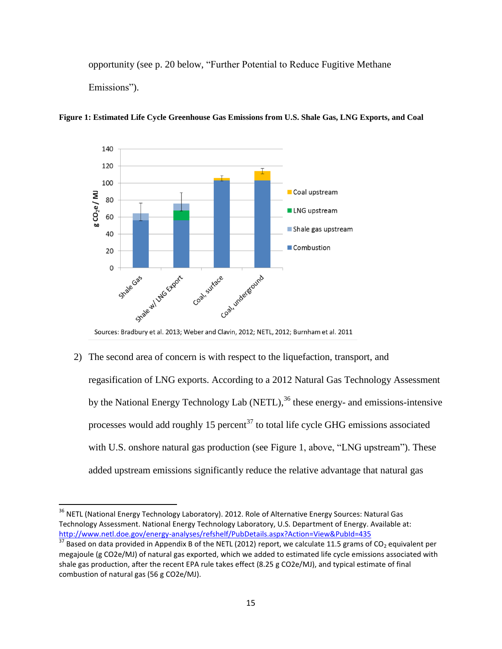opportunity (see p. 20 below, "Further Potential to Reduce Fugitive Methane Emissions").



**Figure 1: Estimated Life Cycle Greenhouse Gas Emissions from U.S. Shale Gas, LNG Exports, and Coal**

Sources: Bradbury et al. 2013; Weber and Clavin, 2012; NETL, 2012; Burnham et al. 2011

2) The second area of concern is with respect to the liquefaction, transport, and regasification of LNG exports. According to a 2012 Natural Gas Technology Assessment by the National Energy Technology Lab (NETL),<sup>36</sup> these energy- and emissions-intensive processes would add roughly 15 percent<sup>37</sup> to total life cycle GHG emissions associated with U.S. onshore natural gas production (see Figure 1, above, "LNG upstream"). These added upstream emissions significantly reduce the relative advantage that natural gas

<sup>&</sup>lt;sup>36</sup> NETL (National Energy Technology Laboratory). 2012. Role of Alternative Energy Sources: Natural Gas Technology Assessment. National Energy Technology Laboratory, U.S. Department of Energy. Available at: <http://www.netl.doe.gov/energy-analyses/refshelf/PubDetails.aspx?Action=View&PubId=435>

**EXPRIMENT CONTROLLER CONTROLLER CONTROLLER CONTROLLER CONTROLLER CONTROLLER CONTROLLER CONTROLLER CONTROLLER CO**<br><sup>37</sup> Based on data provided in Appendix B of the NETL (2012) report, we calculate 11.5 grams of CO<sub>2</sub> equiva megajoule (g CO2e/MJ) of natural gas exported, which we added to estimated life cycle emissions associated with shale gas production, after the recent EPA rule takes effect (8.25 g CO2e/MJ), and typical estimate of final combustion of natural gas (56 g CO2e/MJ).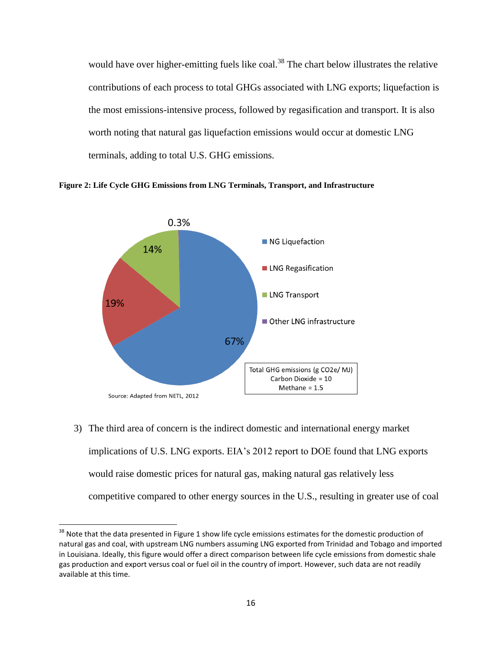would have over higher-emitting fuels like coal.<sup>38</sup> The chart below illustrates the relative contributions of each process to total GHGs associated with LNG exports; liquefaction is the most emissions-intensive process, followed by regasification and transport. It is also worth noting that natural gas liquefaction emissions would occur at domestic LNG terminals, adding to total U.S. GHG emissions.





3) The third area of concern is the indirect domestic and international energy market implications of U.S. LNG exports. EIA's 2012 report to DOE found that LNG exports would raise domestic prices for natural gas, making natural gas relatively less competitive compared to other energy sources in the U.S., resulting in greater use of coal

<sup>&</sup>lt;sup>38</sup> Note that the data presented in Figure 1 show life cycle emissions estimates for the domestic production of natural gas and coal, with upstream LNG numbers assuming LNG exported from Trinidad and Tobago and imported in Louisiana. Ideally, this figure would offer a direct comparison between life cycle emissions from domestic shale gas production and export versus coal or fuel oil in the country of import. However, such data are not readily available at this time.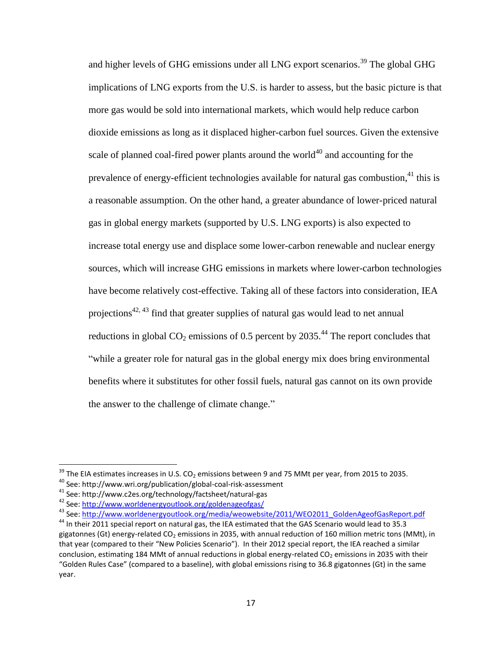and higher levels of GHG emissions under all LNG export scenarios.<sup>39</sup> The global GHG implications of LNG exports from the U.S. is harder to assess, but the basic picture is that more gas would be sold into international markets, which would help reduce carbon dioxide emissions as long as it displaced higher-carbon fuel sources. Given the extensive scale of planned coal-fired power plants around the world $40$  and accounting for the prevalence of energy-efficient technologies available for natural gas combustion,<sup>41</sup> this is a reasonable assumption. On the other hand, a greater abundance of lower-priced natural gas in global energy markets (supported by U.S. LNG exports) is also expected to increase total energy use and displace some lower-carbon renewable and nuclear energy sources, which will increase GHG emissions in markets where lower-carbon technologies have become relatively cost-effective. Taking all of these factors into consideration, IEA projections<sup>42, 43</sup> find that greater supplies of natural gas would lead to net annual reductions in global  $CO_2$  emissions of 0.5 percent by 2035.<sup>44</sup> The report concludes that "while a greater role for natural gas in the global energy mix does bring environmental benefits where it substitutes for other fossil fuels, natural gas cannot on its own provide the answer to the challenge of climate change."

l

 $^{39}$  The EIA estimates increases in U.S. CO<sub>2</sub> emissions between 9 and 75 MMt per year, from 2015 to 2035.

<sup>40</sup> See: http://www.wri.org/publication/global-coal-risk-assessment

<sup>41</sup> See: http://www.c2es.org/technology/factsheet/natural-gas

<sup>42</sup> See:<http://www.worldenergyoutlook.org/goldenageofgas/>

<sup>&</sup>lt;sup>43</sup> See: [http://www.worldenergyoutlook.org/media/weowebsite/2011/WEO2011\\_GoldenAgeofGasReport.pdf](http://www.worldenergyoutlook.org/media/weowebsite/2011/WEO2011_GoldenAgeofGasReport.pdf)

<sup>&</sup>lt;sup>44</sup> In their 2011 special report on natural gas, the IEA estimated that the GAS Scenario would lead to 35.3 gigatonnes (Gt) energy-related CO<sub>2</sub> emissions in 2035, with annual reduction of 160 million metric tons (MMt), in that year (compared to their "New Policies Scenario"). In their 2012 special report, the IEA reached a similar conclusion, estimating 184 MMt of annual reductions in global energy-related CO<sub>2</sub> emissions in 2035 with their "Golden Rules Case" (compared to a baseline), with global emissions rising to 36.8 gigatonnes (Gt) in the same year.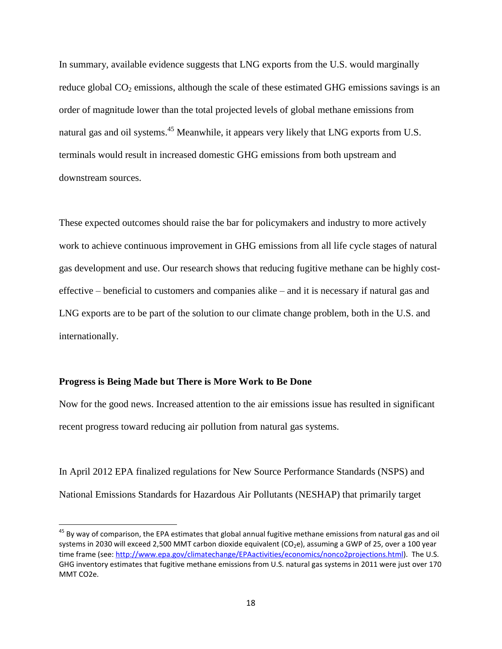In summary, available evidence suggests that LNG exports from the U.S. would marginally reduce global  $CO<sub>2</sub>$  emissions, although the scale of these estimated GHG emissions savings is an order of magnitude lower than the total projected levels of global methane emissions from natural gas and oil systems.<sup>45</sup> Meanwhile, it appears very likely that LNG exports from U.S. terminals would result in increased domestic GHG emissions from both upstream and downstream sources.

These expected outcomes should raise the bar for policymakers and industry to more actively work to achieve continuous improvement in GHG emissions from all life cycle stages of natural gas development and use. Our research shows that reducing fugitive methane can be highly costeffective – beneficial to customers and companies alike – and it is necessary if natural gas and LNG exports are to be part of the solution to our climate change problem, both in the U.S. and internationally.

## **Progress is Being Made but There is More Work to Be Done**

 $\overline{\phantom{a}}$ 

Now for the good news. Increased attention to the air emissions issue has resulted in significant recent progress toward reducing air pollution from natural gas systems.

In April 2012 EPA finalized regulations for New Source Performance Standards (NSPS) and National Emissions Standards for Hazardous Air Pollutants (NESHAP) that primarily target

<sup>&</sup>lt;sup>45</sup> By way of comparison, the EPA estimates that global annual fugitive methane emissions from natural gas and oil systems in 2030 will exceed 2,500 MMT carbon dioxide equivalent (CO<sub>2</sub>e), assuming a GWP of 25, over a 100 year time frame (see: [http://www.epa.gov/climatechange/EPAactivities/economics/nonco2projections.html\)](http://www.epa.gov/climatechange/EPAactivities/economics/nonco2projections.html). The U.S. GHG inventory estimates that fugitive methane emissions from U.S. natural gas systems in 2011 were just over 170 MMT CO2e.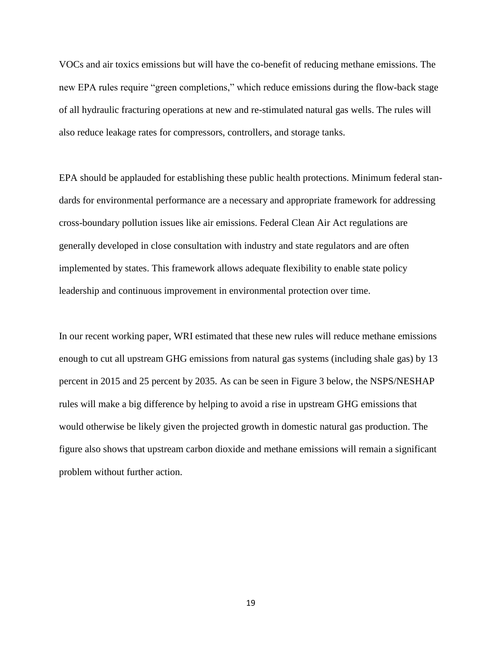VOCs and air toxics emissions but will have the co-benefit of reducing methane emissions. The new EPA rules require "green completions," which reduce emissions during the flow-back stage of all hydraulic fracturing operations at new and re-stimulated natural gas wells. The rules will also reduce leakage rates for compressors, controllers, and storage tanks.

EPA should be applauded for establishing these public health protections. Minimum federal standards for environmental performance are a necessary and appropriate framework for addressing cross-boundary pollution issues like air emissions. Federal Clean Air Act regulations are generally developed in close consultation with industry and state regulators and are often implemented by states. This framework allows adequate flexibility to enable state policy leadership and continuous improvement in environmental protection over time.

In our recent working paper, WRI estimated that these new rules will reduce methane emissions enough to cut all upstream GHG emissions from natural gas systems (including shale gas) by 13 percent in 2015 and 25 percent by 2035. As can be seen in Figure 3 below, the NSPS/NESHAP rules will make a big difference by helping to avoid a rise in upstream GHG emissions that would otherwise be likely given the projected growth in domestic natural gas production. The figure also shows that upstream carbon dioxide and methane emissions will remain a significant problem without further action.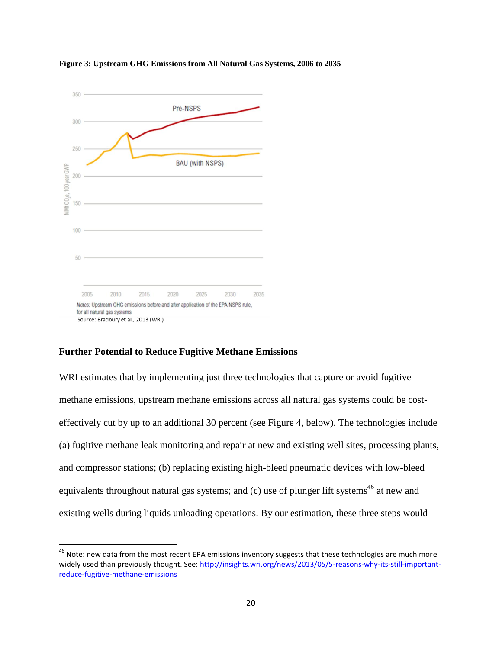

**Figure 3: Upstream GHG Emissions from All Natural Gas Systems, 2006 to 2035**

## **Further Potential to Reduce Fugitive Methane Emissions**

 $\overline{\phantom{a}}$ 

WRI estimates that by implementing just three technologies that capture or avoid fugitive methane emissions, upstream methane emissions across all natural gas systems could be costeffectively cut by up to an additional 30 percent (see Figure 4, below). The technologies include (a) fugitive methane leak monitoring and repair at new and existing well sites, processing plants, and compressor stations; (b) replacing existing high-bleed pneumatic devices with low-bleed equivalents throughout natural gas systems; and  $(c)$  use of plunger lift systems<sup>46</sup> at new and existing wells during liquids unloading operations. By our estimation, these three steps would

<sup>&</sup>lt;sup>46</sup> Note: new data from the most recent EPA emissions inventory suggests that these technologies are much more widely used than previously thought. See: [http://insights.wri.org/news/2013/05/5-reasons-why-its-still-important](http://insights.wri.org/news/2013/05/5-reasons-why-its-still-important-reduce-fugitive-methane-emissions)[reduce-fugitive-methane-emissions](http://insights.wri.org/news/2013/05/5-reasons-why-its-still-important-reduce-fugitive-methane-emissions)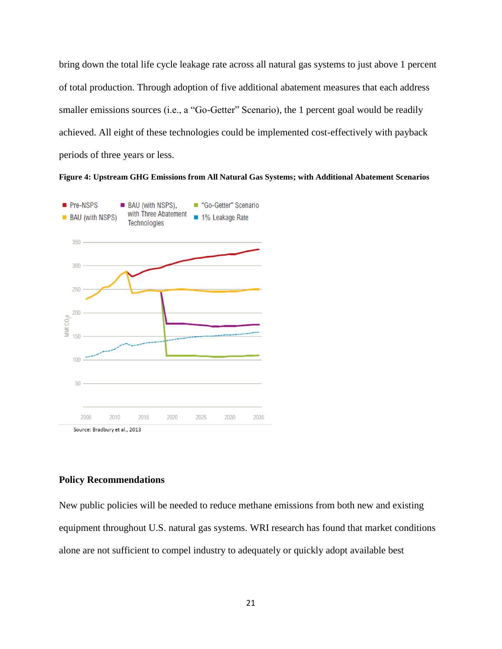bring down the total life cycle leakage rate across all natural gas systems to just above 1 percent of total production. Through adoption of five additional abatement measures that each address smaller emissions sources (i.e., a "Go-Getter" Scenario), the 1 percent goal would be readily achieved. All eight of these technologies could be implemented cost-effectively with payback periods of three years or less.

**Figure 4: Upstream GHG Emissions from All Natural Gas Systems; with Additional Abatement Scenarios**



## **Policy Recommendations**

New public policies will be needed to reduce methane emissions from both new and existing equipment throughout U.S. natural gas systems. WRI research has found that market conditions alone are not sufficient to compel industry to adequately or quickly adopt available best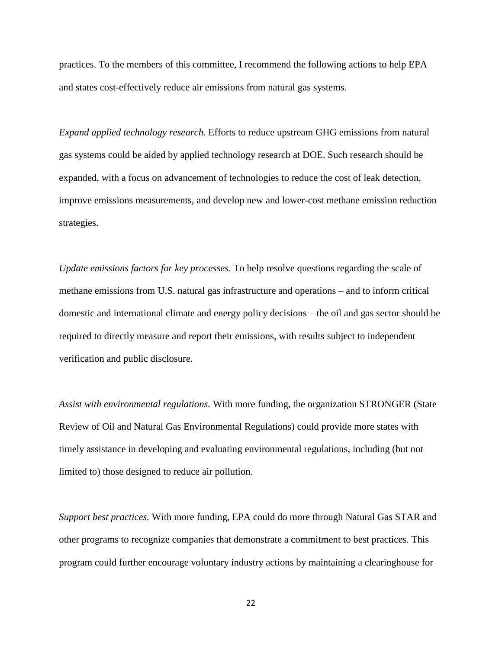practices. To the members of this committee, I recommend the following actions to help EPA and states cost-effectively reduce air emissions from natural gas systems.

*Expand applied technology research.* Efforts to reduce upstream GHG emissions from natural gas systems could be aided by applied technology research at DOE. Such research should be expanded, with a focus on advancement of technologies to reduce the cost of leak detection, improve emissions measurements, and develop new and lower-cost methane emission reduction strategies.

*Update emissions factors for key processes.* To help resolve questions regarding the scale of methane emissions from U.S. natural gas infrastructure and operations – and to inform critical domestic and international climate and energy policy decisions – the oil and gas sector should be required to directly measure and report their emissions, with results subject to independent verification and public disclosure.

*Assist with environmental regulations.* With more funding, the organization STRONGER (State Review of Oil and Natural Gas Environmental Regulations) could provide more states with timely assistance in developing and evaluating environmental regulations, including (but not limited to) those designed to reduce air pollution.

*Support best practices.* With more funding, EPA could do more through Natural Gas STAR and other programs to recognize companies that demonstrate a commitment to best practices. This program could further encourage voluntary industry actions by maintaining a clearinghouse for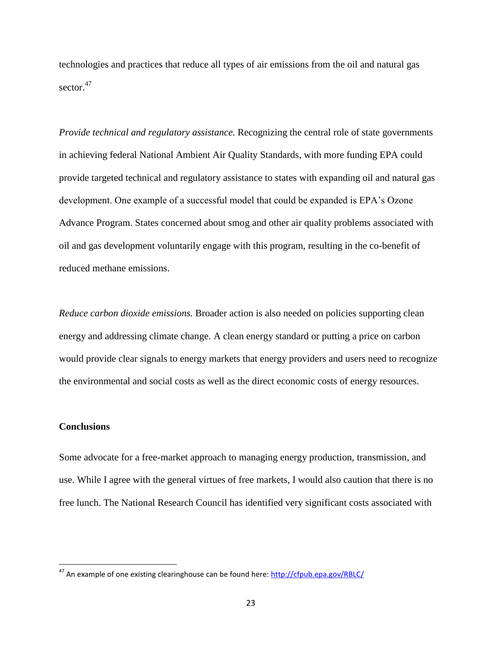technologies and practices that reduce all types of air emissions from the oil and natural gas sector.<sup>47</sup>

*Provide technical and regulatory assistance.* Recognizing the central role of state governments in achieving federal National Ambient Air Quality Standards, with more funding EPA could provide targeted technical and regulatory assistance to states with expanding oil and natural gas development. One example of a successful model that could be expanded is EPA's Ozone Advance Program. States concerned about smog and other air quality problems associated with oil and gas development voluntarily engage with this program, resulting in the co-benefit of reduced methane emissions.

*Reduce carbon dioxide emissions.* Broader action is also needed on policies supporting clean energy and addressing climate change. A clean energy standard or putting a price on carbon would provide clear signals to energy markets that energy providers and users need to recognize the environmental and social costs as well as the direct economic costs of energy resources.

## **Conclusions**

 $\overline{\phantom{a}}$ 

Some advocate for a free-market approach to managing energy production, transmission, and use. While I agree with the general virtues of free markets, I would also caution that there is no free lunch. The National Research Council has identified very significant costs associated with

<sup>&</sup>lt;sup>47</sup> An example of one existing clearinghouse can be found here[: http://cfpub.epa.gov/RBLC/](http://cfpub.epa.gov/RBLC/)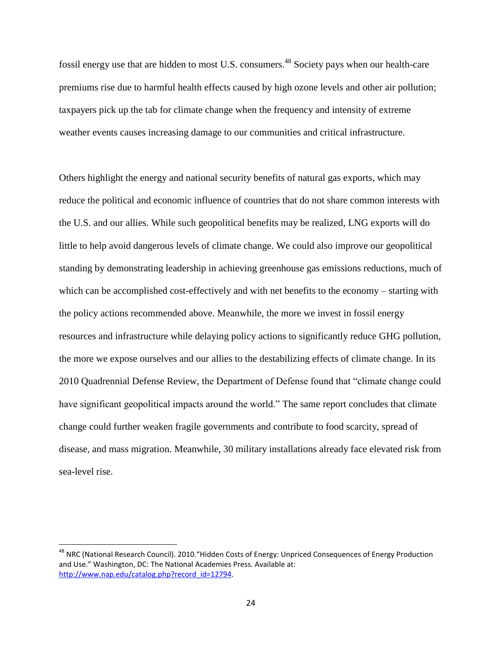fossil energy use that are hidden to most U.S. consumers.<sup>48</sup> Society pays when our health-care premiums rise due to harmful health effects caused by high ozone levels and other air pollution; taxpayers pick up the tab for climate change when the frequency and intensity of extreme weather events causes increasing damage to our communities and critical infrastructure.

Others highlight the energy and national security benefits of natural gas exports, which may reduce the political and economic influence of countries that do not share common interests with the U.S. and our allies. While such geopolitical benefits may be realized, LNG exports will do little to help avoid dangerous levels of climate change. We could also improve our geopolitical standing by demonstrating leadership in achieving greenhouse gas emissions reductions, much of which can be accomplished cost-effectively and with net benefits to the economy – starting with the policy actions recommended above. Meanwhile, the more we invest in fossil energy resources and infrastructure while delaying policy actions to significantly reduce GHG pollution, the more we expose ourselves and our allies to the destabilizing effects of climate change. In its 2010 Quadrennial Defense Review, the Department of Defense found that "climate change could have significant geopolitical impacts around the world." The same report concludes that climate change could further weaken fragile governments and contribute to food scarcity, spread of disease, and mass migration. Meanwhile, 30 military installations already face elevated risk from sea-level rise.

<sup>&</sup>lt;sup>48</sup> NRC (National Research Council). 2010. "Hidden Costs of Energy: Unpriced Consequences of Energy Production and Use." Washington, DC: The National Academies Press. Available at: [http://www.nap.edu/catalog.php?record\\_id=12794.](http://www.nap.edu/catalog.php?record_id=12794)